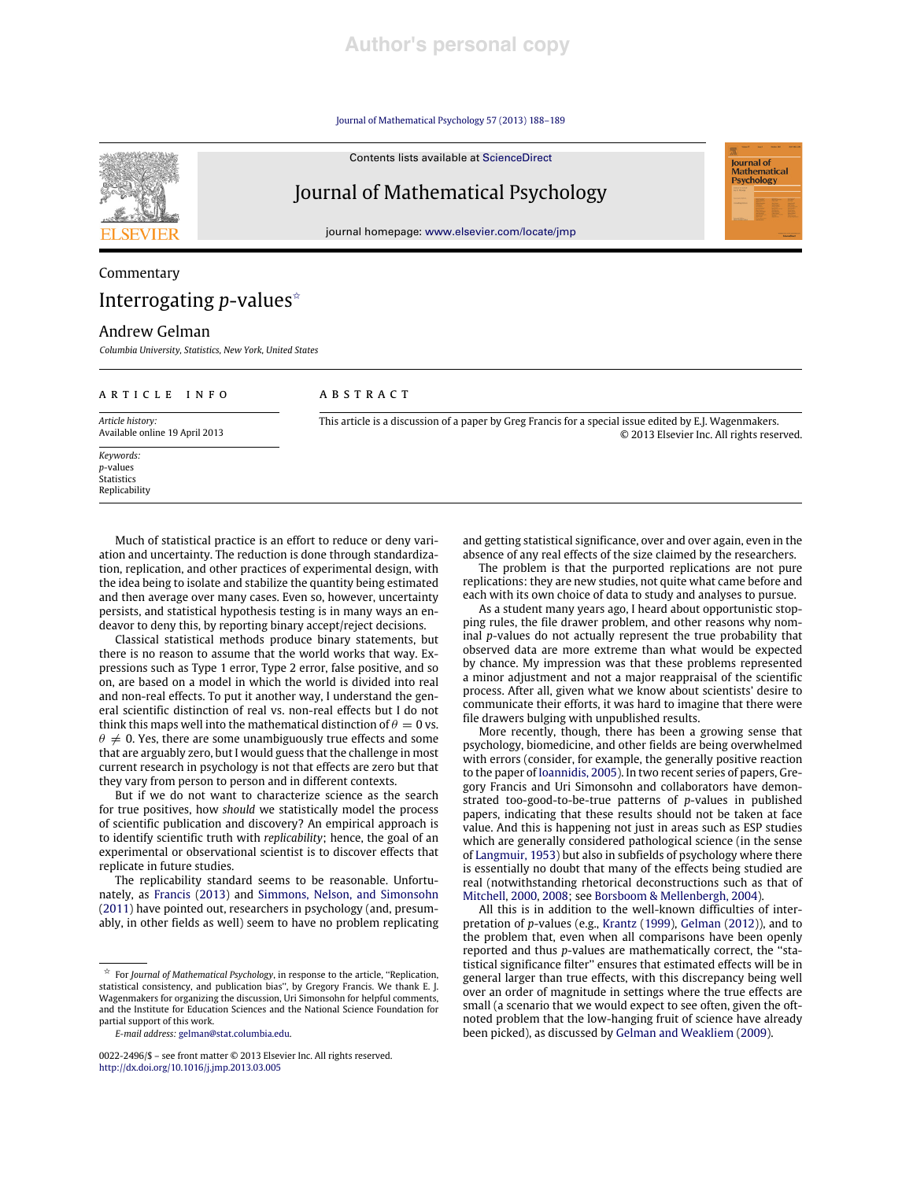### Journal of Mathematical Psychology 57 (2013) 188–189



Contents lists available at ScienceDirect

Journal of Mathematical Psychology



© 2013 Elsevier Inc. All rights reserved.

journal homepage: www.elsevier.com/locate/jmp

## Commentary

# Interrogating  $p$ -values<sup>\*</sup>

## Andrew Gelman

*Columbia University, Statistics, New York, United States*

#### article info

**ABSTRACT** 

*Article history:* Available online 19 April 2013

*Keywords: p*-values **Statistics** Replicability

Much of statistical practice is an effort to reduce or deny variation and uncertainty. The reduction is done through standardization, replication, and other practices of experimental design, with the idea being to isolate and stabilize the quantity being estimated and then average over many cases. Even so, however, uncertainty persists, and statistical hypothesis testing is in many ways an endeavor to deny this, by reporting binary accept/reject decisions.

Classical statistical methods produce binary statements, but there is no reason to assume that the world works that way. Expressions such as Type 1 error, Type 2 error, false positive, and so on, are based on a model in which the world is divided into real and non-real effects. To put it another way, I understand the general scientific distinction of real vs. non-real effects but I do not think this maps well into the mathematical distinction of  $\theta = 0$  vs.  $\theta \neq 0$ . Yes, there are some unambiguously true effects and some that are arguably zero, but I would guess that the challenge in most current research in psychology is not that effects are zero but that they vary from person to person and in different contexts.

But if we do not want to characterize science as the search for true positives, how *should* we statistically model the process of scientific publication and discovery? An empirical approach is to identify scientific truth with *replicability*; hence, the goal of an experimental or observational scientist is to discover effects that replicate in future studies.

The replicability standard seems to be reasonable. Unfortunately, as Francis (2013) and Simmons, Nelson, and Simonsohn (2011) have pointed out, researchers in psychology (and, presumably, in other fields as well) seem to have no problem replicating

*E-mail address:* gelman@stat.columbia.edu.

and getting statistical significance, over and over again, even in the absence of any real effects of the size claimed by the researchers.

This article is a discussion of a paper by Greg Francis for a special issue edited by E.J. Wagenmakers.

The problem is that the purported replications are not pure replications: they are new studies, not quite what came before and each with its own choice of data to study and analyses to pursue.

As a student many years ago, I heard about opportunistic stopping rules, the file drawer problem, and other reasons why nominal *p*-values do not actually represent the true probability that observed data are more extreme than what would be expected by chance. My impression was that these problems represented a minor adjustment and not a major reappraisal of the scientific process. After all, given what we know about scientists' desire to communicate their efforts, it was hard to imagine that there were file drawers bulging with unpublished results.

More recently, though, there has been a growing sense that psychology, biomedicine, and other fields are being overwhelmed with errors (consider, for example, the generally positive reaction to the paper of Ioannidis, 2005). In two recent series of papers, Gregory Francis and Uri Simonsohn and collaborators have demonstrated too-good-to-be-true patterns of *p*-values in published papers, indicating that these results should not be taken at face value. And this is happening not just in areas such as ESP studies which are generally considered pathological science (in the sense of Langmuir, 1953) but also in subfields of psychology where there is essentially no doubt that many of the effects being studied are real (notwithstanding rhetorical deconstructions such as that of Mitchell, 2000, 2008; see Borsboom & Mellenbergh, 2004).

All this is in addition to the well-known difficulties of interpretation of *p*-values (e.g., Krantz (1999), Gelman (2012)), and to the problem that, even when all comparisons have been openly reported and thus *p*-values are mathematically correct, the ''statistical significance filter'' ensures that estimated effects will be in general larger than true effects, with this discrepancy being well over an order of magnitude in settings where the true effects are small (a scenario that we would expect to see often, given the oftnoted problem that the low-hanging fruit of science have already been picked), as discussed by Gelman and Weakliem (2009).

 $\overrightarrow{P}$  For *Journal of Mathematical Psychology*, in response to the article, "Replication, statistical consistency, and publication bias'', by Gregory Francis. We thank E. J. Wagenmakers for organizing the discussion, Uri Simonsohn for helpful comments, and the Institute for Education Sciences and the National Science Foundation for partial support of this work.

<sup>0022-2496/\$ –</sup> see front matter © 2013 Elsevier Inc. All rights reserved. http://dx.doi.org/10.1016/j.jmp.2013.03.005